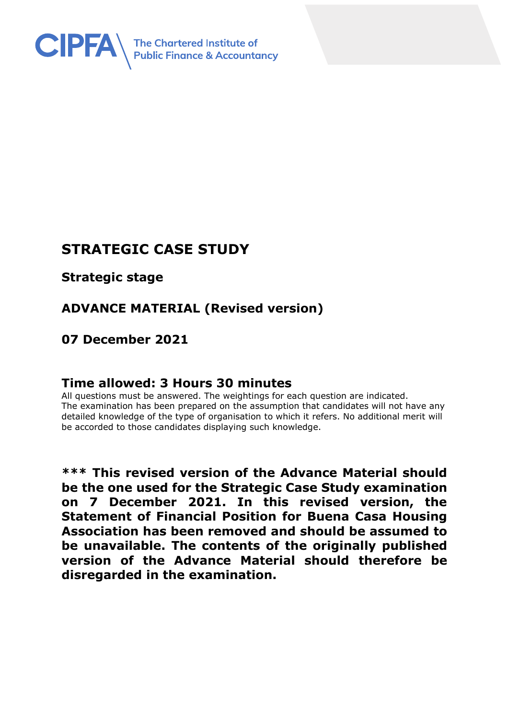

# **STRATEGIC CASE STUDY**

**Strategic stage**

# **ADVANCE MATERIAL (Revised version)**

## **07 December 2021**

## **Time allowed: 3 Hours 30 minutes**

All questions must be answered. The weightings for each question are indicated. The examination has been prepared on the assumption that candidates will not have any detailed knowledge of the type of organisation to which it refers. No additional merit will be accorded to those candidates displaying such knowledge.

**\*\*\* This revised version of the Advance Material should be the one used for the Strategic Case Study examination on 7 December 2021. In this revised version, the Statement of Financial Position for Buena Casa Housing Association has been removed and should be assumed to be unavailable. The contents of the originally published version of the Advance Material should therefore be disregarded in the examination.**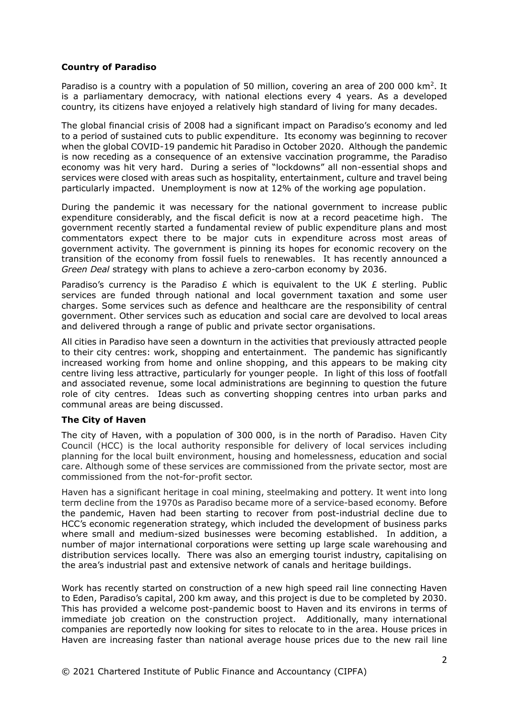#### **Country of Paradiso**

Paradiso is a country with a population of 50 million, covering an area of 200 000 km<sup>2</sup>. It is a parliamentary democracy, with national elections every 4 years. As a developed country, its citizens have enjoyed a relatively high standard of living for many decades.

The global financial crisis of 2008 had a significant impact on Paradiso's economy and led to a period of sustained cuts to public expenditure. Its economy was beginning to recover when the global COVID-19 pandemic hit Paradiso in October 2020. Although the pandemic is now receding as a consequence of an extensive vaccination programme, the Paradiso economy was hit very hard. During a series of "lockdowns" all non-essential shops and services were closed with areas such as hospitality, entertainment, culture and travel being particularly impacted. Unemployment is now at 12% of the working age population.

During the pandemic it was necessary for the national government to increase public expenditure considerably, and the fiscal deficit is now at a record peacetime high. The government recently started a fundamental review of public expenditure plans and most commentators expect there to be major cuts in expenditure across most areas of government activity. The government is pinning its hopes for economic recovery on the transition of the economy from fossil fuels to renewables. It has recently announced a *Green Deal* strategy with plans to achieve a zero-carbon economy by 2036.

Paradiso's currency is the Paradiso  $E$  which is equivalent to the UK  $E$  sterling. Public services are funded through national and local government taxation and some user charges. Some services such as defence and healthcare are the responsibility of central government. Other services such as education and social care are devolved to local areas and delivered through a range of public and private sector organisations.

All cities in Paradiso have seen a downturn in the activities that previously attracted people to their city centres: work, shopping and entertainment. The pandemic has significantly increased working from home and online shopping, and this appears to be making city centre living less attractive, particularly for younger people. In light of this loss of footfall and associated revenue, some local administrations are beginning to question the future role of city centres. Ideas such as converting shopping centres into urban parks and communal areas are being discussed.

#### **The City of Haven**

The city of Haven, with a population of 300 000, is in the north of Paradiso. Haven City Council (HCC) is the local authority responsible for delivery of local services including planning for the local built environment, housing and homelessness, education and social care. Although some of these services are commissioned from the private sector, most are commissioned from the not-for-profit sector.

Haven has a significant heritage in coal mining, steelmaking and pottery. It went into long term decline from the 1970s as Paradiso became more of a service-based economy. Before the pandemic, Haven had been starting to recover from post-industrial decline due to HCC's economic regeneration strategy, which included the development of business parks where small and medium-sized businesses were becoming established. In addition, a number of major international corporations were setting up large scale warehousing and distribution services locally. There was also an emerging tourist industry, capitalising on the area's industrial past and extensive network of canals and heritage buildings.

Work has recently started on construction of a new high speed rail line connecting Haven to Eden, Paradiso's capital, 200 km away, and this project is due to be completed by 2030. This has provided a welcome post-pandemic boost to Haven and its environs in terms of immediate job creation on the construction project. Additionally, many international companies are reportedly now looking for sites to relocate to in the area. House prices in Haven are increasing faster than national average house prices due to the new rail line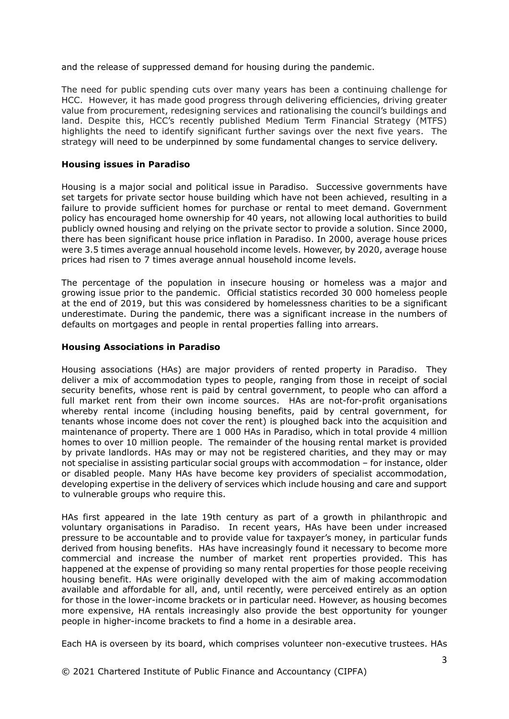and the release of suppressed demand for housing during the pandemic.

The need for public spending cuts over many years has been a continuing challenge for HCC. However, it has made good progress through delivering efficiencies, driving greater value from procurement, redesigning services and rationalising the council's buildings and land. Despite this, HCC's recently published Medium Term Financial Strategy (MTFS) highlights the need to identify significant further savings over the next five years. The strategy will need to be underpinned by some fundamental changes to service delivery.

#### **Housing issues in Paradiso**

Housing is a major social and political issue in Paradiso. Successive governments have set targets for private sector house building which have not been achieved, resulting in a failure to provide sufficient homes for purchase or rental to meet demand. Government policy has encouraged home ownership for 40 years, not allowing local authorities to build publicly owned housing and relying on the private sector to provide a solution. Since 2000, there has been significant house price inflation in Paradiso. In 2000, average house prices were 3.5 times average annual household income levels. However, by 2020, average house prices had risen to 7 times average annual household income levels.

The percentage of the population in insecure housing or homeless was a major and growing issue prior to the pandemic. Official statistics recorded 30 000 homeless people at the end of 2019, but this was considered by homelessness charities to be a significant underestimate. During the pandemic, there was a significant increase in the numbers of defaults on mortgages and people in rental properties falling into arrears.

#### **Housing Associations in Paradiso**

Housing associations (HAs) are major providers of rented property in Paradiso. They deliver a mix of accommodation types to people, ranging from those in receipt of social security benefits, whose rent is paid by central government, to people who can afford a full market rent from their own income sources. HAs are not-for-profit organisations whereby rental income (including housing benefits, paid by central government, for tenants whose income does not cover the rent) is ploughed back into the acquisition and maintenance of property. There are 1 000 HAs in Paradiso, which in total provide 4 million homes to over 10 million people. The remainder of the housing rental market is provided by private landlords. HAs may or may not be registered charities, and they may or may not specialise in assisting particular social groups with accommodation – for instance, older or disabled people. Many HAs have become key providers of specialist accommodation, developing expertise in the delivery of services which include housing and care and support to vulnerable groups who require this.

HAs first appeared in the late 19th century as part of a growth in philanthropic and voluntary organisations in Paradiso. In recent years, HAs have been under increased pressure to be accountable and to provide value for taxpayer's money, in particular funds derived from housing benefits. HAs have increasingly found it necessary to become more commercial and increase the number of market rent properties provided. This has happened at the expense of providing so many rental properties for those people receiving housing benefit. HAs were originally developed with the aim of making accommodation available and affordable for all, and, until recently, were perceived entirely as an option for those in the lower-income brackets or in particular need. However, as housing becomes more expensive, HA rentals increasingly also provide the best opportunity for younger people in higher-income brackets to find a home in a desirable area.

Each HA is overseen by its board, which comprises volunteer non-executive trustees. HAs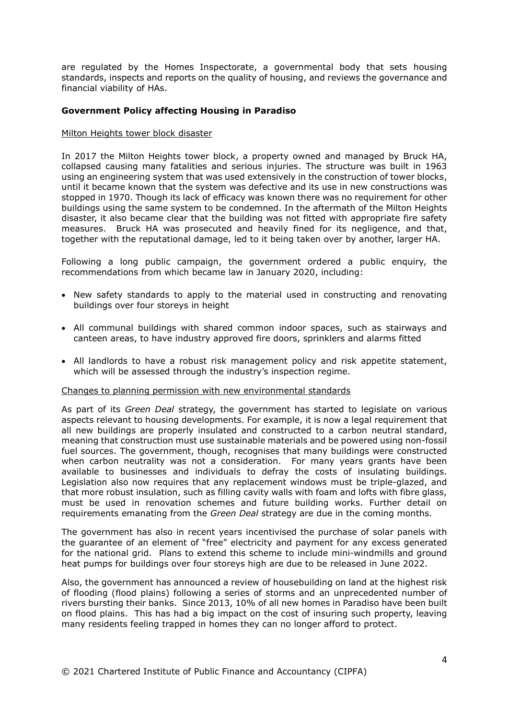are regulated by the Homes Inspectorate, a governmental body that sets housing standards, inspects and reports on the quality of housing, and reviews the governance and financial viability of HAs.

#### **Government Policy affecting Housing in Paradiso**

#### Milton Heights tower block disaster

In 2017 the Milton Heights tower block, a property owned and managed by Bruck HA, collapsed causing many fatalities and serious injuries. The structure was built in 1963 using an engineering system that was used extensively in the construction of tower blocks, until it became known that the system was defective and its use in new constructions was stopped in 1970. Though its lack of efficacy was known there was no requirement for other buildings using the same system to be condemned. In the aftermath of the Milton Heights disaster, it also became clear that the building was not fitted with appropriate fire safety measures. Bruck HA was prosecuted and heavily fined for its negligence, and that, together with the reputational damage, led to it being taken over by another, larger HA.

Following a long public campaign, the government ordered a public enquiry, the recommendations from which became law in January 2020, including:

- New safety standards to apply to the material used in constructing and renovating buildings over four storeys in height
- All communal buildings with shared common indoor spaces, such as stairways and canteen areas, to have industry approved fire doors, sprinklers and alarms fitted
- All landlords to have a robust risk management policy and risk appetite statement, which will be assessed through the industry's inspection regime.

#### Changes to planning permission with new environmental standards

As part of its *Green Deal* strategy, the government has started to legislate on various aspects relevant to housing developments. For example, it is now a legal requirement that all new buildings are properly insulated and constructed to a carbon neutral standard, meaning that construction must use sustainable materials and be powered using non-fossil fuel sources. The government, though, recognises that many buildings were constructed when carbon neutrality was not a consideration. For many years grants have been available to businesses and individuals to defray the costs of insulating buildings. Legislation also now requires that any replacement windows must be triple-glazed, and that more robust insulation, such as filling cavity walls with foam and lofts with fibre glass, must be used in renovation schemes and future building works. Further detail on requirements emanating from the *Green Deal* strategy are due in the coming months.

The government has also in recent years incentivised the purchase of solar panels with the guarantee of an element of "free" electricity and payment for any excess generated for the national grid. Plans to extend this scheme to include mini-windmills and ground heat pumps for buildings over four storeys high are due to be released in June 2022.

Also, the government has announced a review of housebuilding on land at the highest risk of flooding (flood plains) following a series of storms and an unprecedented number of rivers bursting their banks. Since 2013, 10% of all new homes in Paradiso have been built on flood plains. This has had a big impact on the cost of insuring such property, leaving many residents feeling trapped in homes they can no longer afford to protect.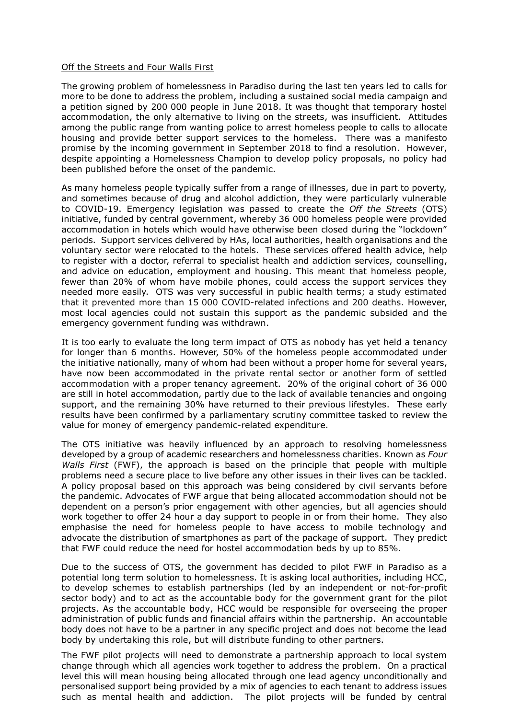#### Off the Streets and Four Walls First

The growing problem of homelessness in Paradiso during the last ten years led to calls for more to be done to address the problem, including a sustained social media campaign and a petition signed by 200 000 people in June 2018. It was thought that temporary hostel accommodation, the only alternative to living on the streets, was insufficient. Attitudes among the public range from wanting police to arrest homeless people to calls to allocate housing and provide better support services to the homeless. There was a manifesto promise by the incoming government in September 2018 to find a resolution. However, despite appointing a Homelessness Champion to develop policy proposals, no policy had been published before the onset of the pandemic.

As many homeless people typically suffer from a range of illnesses, due in part to poverty, and sometimes because of drug and alcohol addiction, they were particularly vulnerable to COVID-19. Emergency legislation was passed to create the *Off the Streets* (OTS) initiative, funded by central government, whereby 36 000 homeless people were provided accommodation in hotels which would have otherwise been closed during the "lockdown" periods. Support services delivered by HAs, local authorities, health organisations and the voluntary sector were relocated to the hotels. These services offered health advice, help to register with a doctor, referral to specialist health and addiction services, counselling, and advice on education, employment and housing. This meant that homeless people, fewer than 20% of whom have mobile phones, could access the support services they needed more easily. OTS was very successful in public health terms; a study estimated that it prevented more than 15 000 COVID-related infections and 200 deaths. However, most local agencies could not sustain this support as the pandemic subsided and the emergency government funding was withdrawn.

It is too early to evaluate the long term impact of OTS as nobody has yet held a tenancy for longer than 6 months. However, 50% of the homeless people accommodated under the initiative nationally, many of whom had been without a proper home for several years, have now been accommodated in the private rental sector or another form of settled accommodation with a proper tenancy agreement. 20% of the original cohort of 36 000 are still in hotel accommodation, partly due to the lack of available tenancies and ongoing support, and the remaining 30% have returned to their previous lifestyles. These early results have been confirmed by a parliamentary scrutiny committee tasked to review the value for money of emergency pandemic-related expenditure.

The OTS initiative was heavily influenced by an approach to resolving homelessness developed by a group of academic researchers and homelessness charities. Known as *Four Walls First* (FWF), the approach is based on the principle that people with multiple problems need a secure place to live before any other issues in their lives can be tackled. A policy proposal based on this approach was being considered by civil servants before the pandemic. Advocates of FWF argue that being allocated accommodation should not be dependent on a person's prior engagement with other agencies, but all agencies should work together to offer 24 hour a day support to people in or from their home. They also emphasise the need for homeless people to have access to mobile technology and advocate the distribution of smartphones as part of the package of support. They predict that FWF could reduce the need for hostel accommodation beds by up to 85%.

Due to the success of OTS, the government has decided to pilot FWF in Paradiso as a potential long term solution to homelessness. It is asking local authorities, including HCC, to develop schemes to establish partnerships (led by an independent or not-for-profit sector body) and to act as the accountable body for the government grant for the pilot projects. As the accountable body, HCC would be responsible for overseeing the proper administration of public funds and financial affairs within the partnership. An accountable body does not have to be a partner in any specific project and does not become the lead body by undertaking this role, but will distribute funding to other partners.

The FWF pilot projects will need to demonstrate a partnership approach to local system change through which all agencies work together to address the problem. On a practical level this will mean housing being allocated through one lead agency unconditionally and personalised support being provided by a mix of agencies to each tenant to address issues such as mental health and addiction. The pilot projects will be funded by central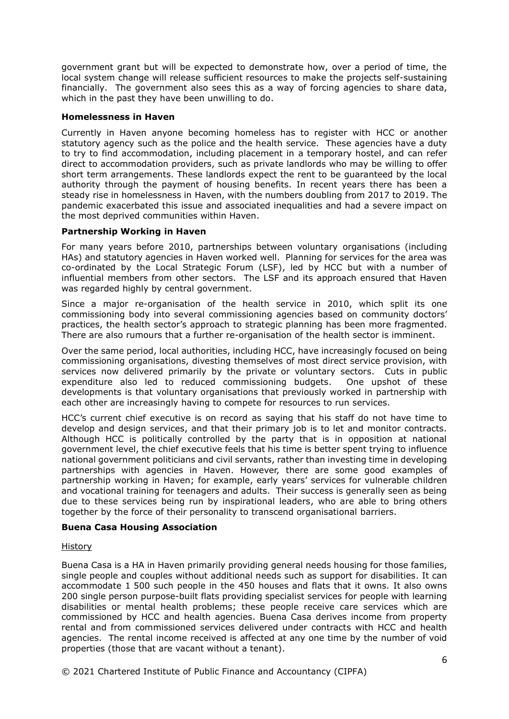government grant but will be expected to demonstrate how, over a period of time, the local system change will release sufficient resources to make the projects self-sustaining financially. The government also sees this as a way of forcing agencies to share data, which in the past they have been unwilling to do.

#### **Homelessness in Haven**

Currently in Haven anyone becoming homeless has to register with HCC or another statutory agency such as the police and the health service. These agencies have a duty to try to find accommodation, including placement in a temporary hostel, and can refer direct to accommodation providers, such as private landlords who may be willing to offer short term arrangements. These landlords expect the rent to be guaranteed by the local authority through the payment of housing benefits. In recent years there has been a steady rise in homelessness in Haven, with the numbers doubling from 2017 to 2019. The pandemic exacerbated this issue and associated inequalities and had a severe impact on the most deprived communities within Haven.

#### **Partnership Working in Haven**

For many years before 2010, partnerships between voluntary organisations (including HAs) and statutory agencies in Haven worked well. Planning for services for the area was co-ordinated by the Local Strategic Forum (LSF), led by HCC but with a number of influential members from other sectors. The LSF and its approach ensured that Haven was regarded highly by central government.

Since a major re-organisation of the health service in 2010, which split its one commissioning body into several commissioning agencies based on community doctors' practices, the health sector's approach to strategic planning has been more fragmented. There are also rumours that a further re-organisation of the health sector is imminent.

Over the same period, local authorities, including HCC, have increasingly focused on being commissioning organisations, divesting themselves of most direct service provision, with services now delivered primarily by the private or voluntary sectors. Cuts in public expenditure also led to reduced commissioning budgets. One upshot of these developments is that voluntary organisations that previously worked in partnership with each other are increasingly having to compete for resources to run services.

HCC's current chief executive is on record as saying that his staff do not have time to develop and design services, and that their primary job is to let and monitor contracts. Although HCC is politically controlled by the party that is in opposition at national government level, the chief executive feels that his time is better spent trying to influence national government politicians and civil servants, rather than investing time in developing partnerships with agencies in Haven. However, there are some good examples of partnership working in Haven; for example, early years' services for vulnerable children and vocational training for teenagers and adults. Their success is generally seen as being due to these services being run by inspirational leaders, who are able to bring others together by the force of their personality to transcend organisational barriers.

#### **Buena Casa Housing Association**

#### History

Buena Casa is a HA in Haven primarily providing general needs housing for those families, single people and couples without additional needs such as support for disabilities. It can accommodate 1 500 such people in the 450 houses and flats that it owns. It also owns 200 single person purpose-built flats providing specialist services for people with learning disabilities or mental health problems; these people receive care services which are commissioned by HCC and health agencies. Buena Casa derives income from property rental and from commissioned services delivered under contracts with HCC and health agencies. The rental income received is affected at any one time by the number of void properties (those that are vacant without a tenant).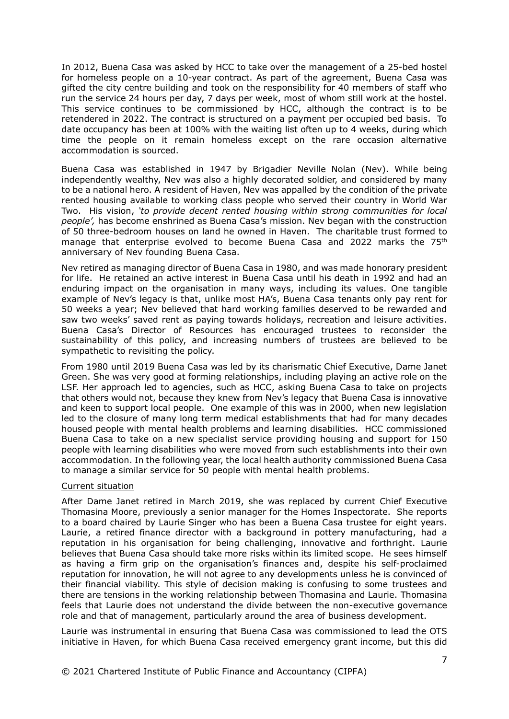In 2012, Buena Casa was asked by HCC to take over the management of a 25-bed hostel for homeless people on a 10-year contract. As part of the agreement, Buena Casa was gifted the city centre building and took on the responsibility for 40 members of staff who run the service 24 hours per day, 7 days per week, most of whom still work at the hostel. This service continues to be commissioned by HCC, although the contract is to be retendered in 2022. The contract is structured on a payment per occupied bed basis. To date occupancy has been at 100% with the waiting list often up to 4 weeks, during which time the people on it remain homeless except on the rare occasion alternative accommodation is sourced.

Buena Casa was established in 1947 by Brigadier Neville Nolan (Nev). While being independently wealthy, Nev was also a highly decorated soldier, and considered by many to be a national hero. A resident of Haven, Nev was appalled by the condition of the private rented housing available to working class people who served their country in World War Two. His vision, *'to provide decent rented housing within strong communities for local people',* has become enshrined as Buena Casa's mission. Nev began with the construction of 50 three-bedroom houses on land he owned in Haven. The charitable trust formed to manage that enterprise evolved to become Buena Casa and 2022 marks the 75<sup>th</sup> anniversary of Nev founding Buena Casa.

Nev retired as managing director of Buena Casa in 1980, and was made honorary president for life. He retained an active interest in Buena Casa until his death in 1992 and had an enduring impact on the organisation in many ways, including its values. One tangible example of Nev's legacy is that, unlike most HA's, Buena Casa tenants only pay rent for 50 weeks a year; Nev believed that hard working families deserved to be rewarded and saw two weeks' saved rent as paying towards holidays, recreation and leisure activities. Buena Casa's Director of Resources has encouraged trustees to reconsider the sustainability of this policy, and increasing numbers of trustees are believed to be sympathetic to revisiting the policy.

From 1980 until 2019 Buena Casa was led by its charismatic Chief Executive, Dame Janet Green. She was very good at forming relationships, including playing an active role on the LSF. Her approach led to agencies, such as HCC, asking Buena Casa to take on projects that others would not, because they knew from Nev's legacy that Buena Casa is innovative and keen to support local people. One example of this was in 2000, when new legislation led to the closure of many long term medical establishments that had for many decades housed people with mental health problems and learning disabilities. HCC commissioned Buena Casa to take on a new specialist service providing housing and support for 150 people with learning disabilities who were moved from such establishments into their own accommodation. In the following year, the local health authority commissioned Buena Casa to manage a similar service for 50 people with mental health problems.

#### Current situation

After Dame Janet retired in March 2019, she was replaced by current Chief Executive Thomasina Moore, previously a senior manager for the Homes Inspectorate. She reports to a board chaired by Laurie Singer who has been a Buena Casa trustee for eight years. Laurie, a retired finance director with a background in pottery manufacturing, had a reputation in his organisation for being challenging, innovative and forthright. Laurie believes that Buena Casa should take more risks within its limited scope. He sees himself as having a firm grip on the organisation's finances and, despite his self-proclaimed reputation for innovation, he will not agree to any developments unless he is convinced of their financial viability. This style of decision making is confusing to some trustees and there are tensions in the working relationship between Thomasina and Laurie. Thomasina feels that Laurie does not understand the divide between the non-executive governance role and that of management, particularly around the area of business development.

Laurie was instrumental in ensuring that Buena Casa was commissioned to lead the OTS initiative in Haven, for which Buena Casa received emergency grant income, but this did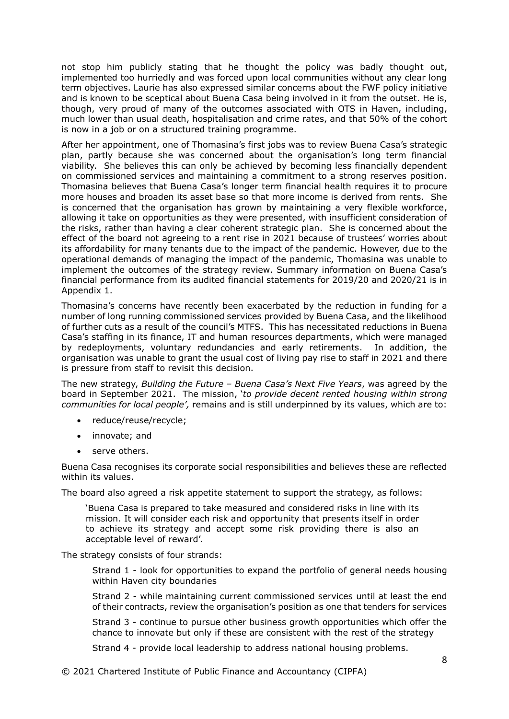not stop him publicly stating that he thought the policy was badly thought out, implemented too hurriedly and was forced upon local communities without any clear long term objectives. Laurie has also expressed similar concerns about the FWF policy initiative and is known to be sceptical about Buena Casa being involved in it from the outset. He is, though, very proud of many of the outcomes associated with OTS in Haven, including, much lower than usual death, hospitalisation and crime rates, and that 50% of the cohort is now in a job or on a structured training programme.

After her appointment, one of Thomasina's first jobs was to review Buena Casa's strategic plan, partly because she was concerned about the organisation's long term financial viability. She believes this can only be achieved by becoming less financially dependent on commissioned services and maintaining a commitment to a strong reserves position. Thomasina believes that Buena Casa's longer term financial health requires it to procure more houses and broaden its asset base so that more income is derived from rents. She is concerned that the organisation has grown by maintaining a very flexible workforce, allowing it take on opportunities as they were presented, with insufficient consideration of the risks, rather than having a clear coherent strategic plan. She is concerned about the effect of the board not agreeing to a rent rise in 2021 because of trustees' worries about its affordability for many tenants due to the impact of the pandemic. However, due to the operational demands of managing the impact of the pandemic, Thomasina was unable to implement the outcomes of the strategy review. Summary information on Buena Casa's financial performance from its audited financial statements for 2019/20 and 2020/21 is in Appendix 1.

Thomasina's concerns have recently been exacerbated by the reduction in funding for a number of long running commissioned services provided by Buena Casa, and the likelihood of further cuts as a result of the council's MTFS. This has necessitated reductions in Buena Casa's staffing in its finance, IT and human resources departments, which were managed by redeployments, voluntary redundancies and early retirements. In addition, the organisation was unable to grant the usual cost of living pay rise to staff in 2021 and there is pressure from staff to revisit this decision.

The new strategy, *Building the Future – Buena Casa's Next Five Years*, was agreed by the board in September 2021. The mission, '*to provide decent rented housing within strong communities for local people',* remains and is still underpinned by its values, which are to:

- reduce/reuse/recycle;
- innovate; and
- serve others.

Buena Casa recognises its corporate social responsibilities and believes these are reflected within its values.

The board also agreed a risk appetite statement to support the strategy, as follows:

'Buena Casa is prepared to take measured and considered risks in line with its mission. It will consider each risk and opportunity that presents itself in order to achieve its strategy and accept some risk providing there is also an acceptable level of reward'.

The strategy consists of four strands:

Strand 1 - look for opportunities to expand the portfolio of general needs housing within Haven city boundaries

Strand 2 - while maintaining current commissioned services until at least the end of their contracts, review the organisation's position as one that tenders for services

Strand 3 - continue to pursue other business growth opportunities which offer the chance to innovate but only if these are consistent with the rest of the strategy

Strand 4 - provide local leadership to address national housing problems.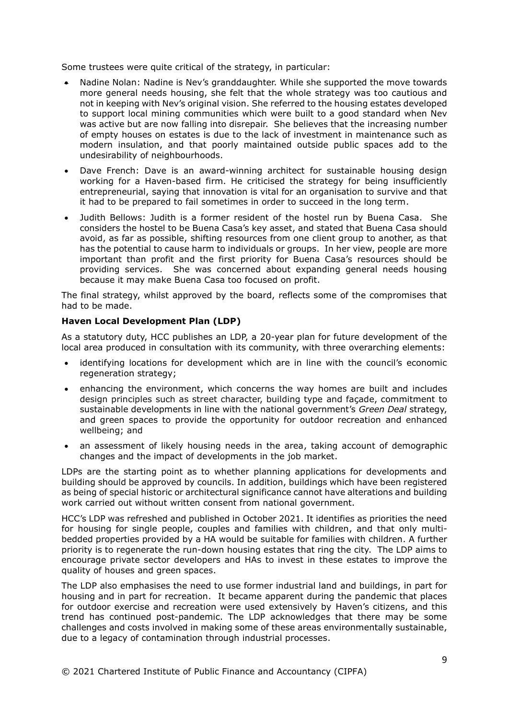Some trustees were quite critical of the strategy, in particular:

- Nadine Nolan: Nadine is Nev's granddaughter. While she supported the move towards more general needs housing, she felt that the whole strategy was too cautious and not in keeping with Nev's original vision. She referred to the housing estates developed to support local mining communities which were built to a good standard when Nev was active but are now falling into disrepair. She believes that the increasing number of empty houses on estates is due to the lack of investment in maintenance such as modern insulation, and that poorly maintained outside public spaces add to the undesirability of neighbourhoods.
- Dave French: Dave is an award-winning architect for sustainable housing design working for a Haven-based firm. He criticised the strategy for being insufficiently entrepreneurial, saying that innovation is vital for an organisation to survive and that it had to be prepared to fail sometimes in order to succeed in the long term.
- Judith Bellows: Judith is a former resident of the hostel run by Buena Casa. She considers the hostel to be Buena Casa's key asset, and stated that Buena Casa should avoid, as far as possible, shifting resources from one client group to another, as that has the potential to cause harm to individuals or groups. In her view, people are more important than profit and the first priority for Buena Casa's resources should be providing services. She was concerned about expanding general needs housing because it may make Buena Casa too focused on profit.

The final strategy, whilst approved by the board, reflects some of the compromises that had to be made.

#### **Haven Local Development Plan (LDP)**

As a statutory duty, HCC publishes an LDP, a 20-year plan for future development of the local area produced in consultation with its community, with three overarching elements:

- identifying locations for development which are in line with the council's economic regeneration strategy;
- enhancing the environment, which concerns the way homes are built and includes design principles such as street character, building type and façade, commitment to sustainable developments in line with the national government's *Green Deal* strategy, and green spaces to provide the opportunity for outdoor recreation and enhanced wellbeing; and
- an assessment of likely housing needs in the area, taking account of demographic changes and the impact of developments in the job market.

LDPs are the starting point as to whether planning applications for developments and building should be approved by councils. In addition, buildings which have been registered as being of special historic or architectural significance cannot have alterations and building work carried out without written consent from national government.

HCC's LDP was refreshed and published in October 2021. It identifies as priorities the need for housing for single people, couples and families with children, and that only multibedded properties provided by a HA would be suitable for families with children. A further priority is to regenerate the run-down housing estates that ring the city. The LDP aims to encourage private sector developers and HAs to invest in these estates to improve the quality of houses and green spaces.

The LDP also emphasises the need to use former industrial land and buildings, in part for housing and in part for recreation. It became apparent during the pandemic that places for outdoor exercise and recreation were used extensively by Haven's citizens, and this trend has continued post-pandemic. The LDP acknowledges that there may be some challenges and costs involved in making some of these areas environmentally sustainable, due to a legacy of contamination through industrial processes.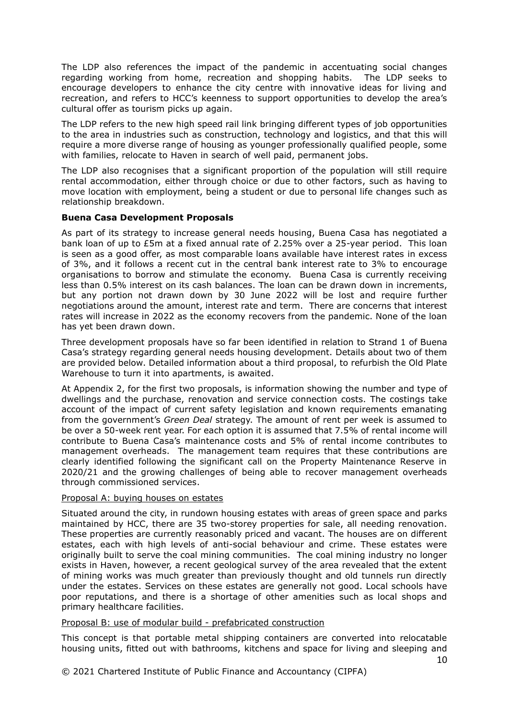The LDP also references the impact of the pandemic in accentuating social changes regarding working from home, recreation and shopping habits. The LDP seeks to encourage developers to enhance the city centre with innovative ideas for living and recreation, and refers to HCC's keenness to support opportunities to develop the area's cultural offer as tourism picks up again.

The LDP refers to the new high speed rail link bringing different types of job opportunities to the area in industries such as construction, technology and logistics, and that this will require a more diverse range of housing as younger professionally qualified people, some with families, relocate to Haven in search of well paid, permanent jobs.

The LDP also recognises that a significant proportion of the population will still require rental accommodation, either through choice or due to other factors, such as having to move location with employment, being a student or due to personal life changes such as relationship breakdown.

#### **Buena Casa Development Proposals**

As part of its strategy to increase general needs housing, Buena Casa has negotiated a bank loan of up to £5m at a fixed annual rate of 2.25% over a 25-year period. This loan is seen as a good offer, as most comparable loans available have interest rates in excess of 3%, and it follows a recent cut in the central bank interest rate to 3% to encourage organisations to borrow and stimulate the economy. Buena Casa is currently receiving less than 0.5% interest on its cash balances. The loan can be drawn down in increments, but any portion not drawn down by 30 June 2022 will be lost and require further negotiations around the amount, interest rate and term. There are concerns that interest rates will increase in 2022 as the economy recovers from the pandemic. None of the loan has yet been drawn down.

Three development proposals have so far been identified in relation to Strand 1 of Buena Casa's strategy regarding general needs housing development. Details about two of them are provided below. Detailed information about a third proposal, to refurbish the Old Plate Warehouse to turn it into apartments, is awaited.

At Appendix 2, for the first two proposals, is information showing the number and type of dwellings and the purchase, renovation and service connection costs. The costings take account of the impact of current safety legislation and known requirements emanating from the government's *Green Deal* strategy. The amount of rent per week is assumed to be over a 50-week rent year. For each option it is assumed that 7.5% of rental income will contribute to Buena Casa's maintenance costs and 5% of rental income contributes to management overheads. The management team requires that these contributions are clearly identified following the significant call on the Property Maintenance Reserve in 2020/21 and the growing challenges of being able to recover management overheads through commissioned services.

#### Proposal A: buying houses on estates

Situated around the city, in rundown housing estates with areas of green space and parks maintained by HCC, there are 35 two-storey properties for sale, all needing renovation. These properties are currently reasonably priced and vacant. The houses are on different estates, each with high levels of anti-social behaviour and crime. These estates were originally built to serve the coal mining communities. The coal mining industry no longer exists in Haven, however, a recent geological survey of the area revealed that the extent of mining works was much greater than previously thought and old tunnels run directly under the estates. Services on these estates are generally not good. Local schools have poor reputations, and there is a shortage of other amenities such as local shops and primary healthcare facilities.

#### Proposal B: use of modular build - prefabricated construction

This concept is that portable metal shipping containers are converted into relocatable housing units, fitted out with bathrooms, kitchens and space for living and sleeping and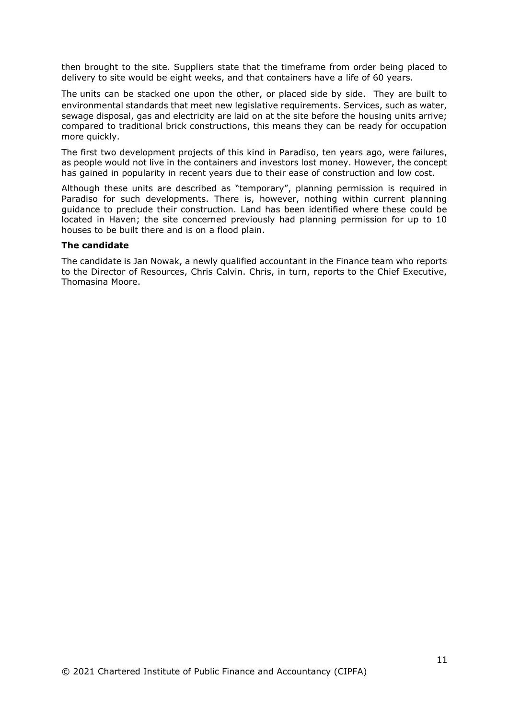then brought to the site. Suppliers state that the timeframe from order being placed to delivery to site would be eight weeks, and that containers have a life of 60 years.

The units can be stacked one upon the other, or placed side by side. They are built to environmental standards that meet new legislative requirements. Services, such as water, sewage disposal, gas and electricity are laid on at the site before the housing units arrive; compared to traditional brick constructions, this means they can be ready for occupation more quickly.

The first two development projects of this kind in Paradiso, ten years ago, were failures, as people would not live in the containers and investors lost money. However, the concept has gained in popularity in recent years due to their ease of construction and low cost.

Although these units are described as "temporary", planning permission is required in Paradiso for such developments. There is, however, nothing within current planning guidance to preclude their construction. Land has been identified where these could be located in Haven; the site concerned previously had planning permission for up to 10 houses to be built there and is on a flood plain.

#### **The candidate**

The candidate is Jan Nowak, a newly qualified accountant in the Finance team who reports to the Director of Resources, Chris Calvin. Chris, in turn, reports to the Chief Executive, Thomasina Moore.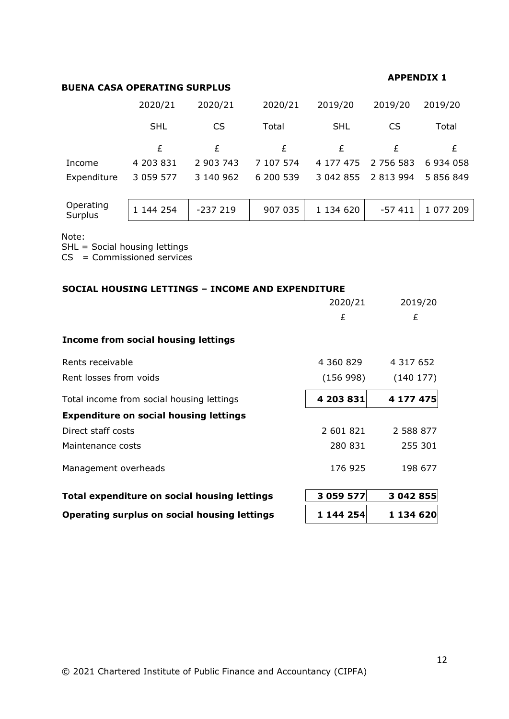#### **BUENA CASA OPERATING SURPLUS**

#### **APPENDIX 1**

|             | 2020/21       | 2020/21   | 2020/21   | 2019/20    | 2019/20             | 2019/20   |
|-------------|---------------|-----------|-----------|------------|---------------------|-----------|
|             | <b>SHL</b>    | CS        | Total     | <b>SHL</b> | CS                  | Total     |
|             | £             | £         | £         | £          | £                   |           |
| Income      | 4 203 831     | 2 903 743 | 7 107 574 |            | 4 177 475 2 756 583 | 6 934 058 |
| Expenditure | 3 0 5 9 5 7 7 | 3 140 962 | 6 200 539 |            | 3 042 855 2 813 994 | 5 856 849 |
|             |               |           |           |            |                     |           |

| Operating<br>Surplus | 144 254 | -237 219 | 907 035 | 1 134 620 | -57 411   1 077 209 |
|----------------------|---------|----------|---------|-----------|---------------------|
|                      |         |          |         |           |                     |

Note:

SHL = Social housing lettings

CS = Commissioned services

| <b>SOCIAL HOUSING LETTINGS - INCOME AND EXPENDITURE</b> |           |           |  |  |  |  |  |
|---------------------------------------------------------|-----------|-----------|--|--|--|--|--|
|                                                         | 2020/21   | 2019/20   |  |  |  |  |  |
|                                                         | £         | £         |  |  |  |  |  |
| Income from social housing lettings                     |           |           |  |  |  |  |  |
| Rents receivable                                        | 4 360 829 | 4 317 652 |  |  |  |  |  |
| Rent losses from voids                                  | (156998)  | (140177)  |  |  |  |  |  |
| Total income from social housing lettings               | 4 203 831 | 4 177 475 |  |  |  |  |  |
| <b>Expenditure on social housing lettings</b>           |           |           |  |  |  |  |  |
| Direct staff costs                                      | 2 601 821 | 2 588 877 |  |  |  |  |  |
| Maintenance costs                                       | 280 831   | 255 301   |  |  |  |  |  |
| Management overheads                                    | 176 925   | 198 677   |  |  |  |  |  |
| Total expenditure on social housing lettings            | 3 059 577 | 3 042 855 |  |  |  |  |  |
| Operating surplus on social housing lettings            | 1 144 254 | 1 134 620 |  |  |  |  |  |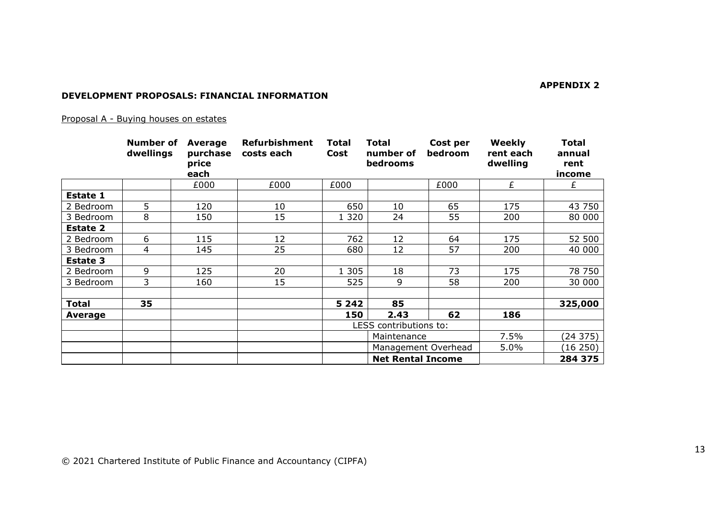**APPENDIX 2**

#### **DEVELOPMENT PROPOSALS: FINANCIAL INFORMATION**

### Proposal A - Buying houses on estates

|                 | <b>Number of</b><br>dwellings | <b>Average</b><br>purchase<br>price<br>each | <b>Refurbishment</b><br>costs each | <b>Total</b><br>Cost     | <b>Total</b><br>number of<br>bedrooms | Cost per<br>bedroom | Weekly<br>rent each<br>dwelling | <b>Total</b><br>annual<br>rent<br>income |
|-----------------|-------------------------------|---------------------------------------------|------------------------------------|--------------------------|---------------------------------------|---------------------|---------------------------------|------------------------------------------|
|                 |                               | £000                                        | £000                               | £000                     |                                       | £000                | £                               | £                                        |
| <b>Estate 1</b> |                               |                                             |                                    |                          |                                       |                     |                                 |                                          |
| 2 Bedroom       | 5                             | 120                                         | 10                                 | 650                      | 10                                    | 65                  | 175                             | 43 750                                   |
| 3 Bedroom       | 8                             | 150                                         | 15                                 | 1 3 2 0                  | 24                                    | 55                  | 200                             | 80 000                                   |
| <b>Estate 2</b> |                               |                                             |                                    |                          |                                       |                     |                                 |                                          |
| 2 Bedroom       | 6                             | 115                                         | 12                                 | 762                      | 12                                    | 64                  | 175                             | 52 500                                   |
| 3 Bedroom       | 4                             | 145                                         | 25                                 | 680                      | 12                                    | 57                  | 200                             | 40 000                                   |
| <b>Estate 3</b> |                               |                                             |                                    |                          |                                       |                     |                                 |                                          |
| 2 Bedroom       | 9                             | 125                                         | 20                                 | 1 3 0 5                  | 18                                    | 73                  | 175                             | 78 750                                   |
| 3 Bedroom       | 3                             | 160                                         | 15                                 | 525                      | 9                                     | 58                  | 200                             | 30 000                                   |
|                 |                               |                                             |                                    |                          |                                       |                     |                                 |                                          |
| <b>Total</b>    | 35                            |                                             |                                    | 5 2 4 2                  | 85                                    |                     |                                 | 325,000                                  |
| <b>Average</b>  |                               |                                             |                                    | 150                      | 2.43                                  | 62                  | 186                             |                                          |
|                 |                               |                                             |                                    | LESS contributions to:   |                                       |                     |                                 |                                          |
|                 |                               |                                             |                                    |                          | Maintenance                           |                     | 7.5%                            | (24375)                                  |
|                 |                               |                                             |                                    |                          | Management Overhead                   |                     | 5.0%                            | (16 250)                                 |
|                 |                               |                                             |                                    | <b>Net Rental Income</b> |                                       |                     |                                 | 284 375                                  |